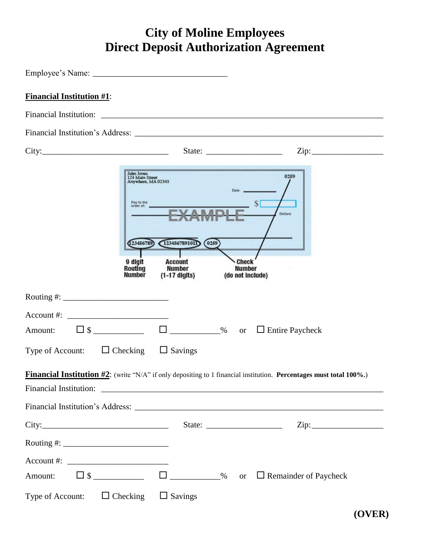## **City of Moline Employees Direct Deposit Authorization Agreement**

| <b>Financial Institution #1:</b> |                                                                                                                                                                                                                                                                                                                        |
|----------------------------------|------------------------------------------------------------------------------------------------------------------------------------------------------------------------------------------------------------------------------------------------------------------------------------------------------------------------|
|                                  |                                                                                                                                                                                                                                                                                                                        |
|                                  |                                                                                                                                                                                                                                                                                                                        |
|                                  | $\mathsf{Zip:}\qquad \qquad \qquad \qquad \qquad$<br>State: $\frac{1}{\sqrt{1-\frac{1}{2}} \cdot \frac{1}{2}}$                                                                                                                                                                                                         |
|                                  | <b>John Jones</b><br>0259<br>124 Main Street<br>Anywhere, MA 02345<br>Date:<br>Pay to the<br>S<br>order of:<br><b>Dollars</b><br>1234567891011<br>(0259)<br>23456789<br>9 digit<br><b>Check</b><br><b>Account</b><br><b>Number</b><br>Routing<br><b>Number</b><br><b>Number</b><br>$(1-17$ digits)<br>(do not include) |
|                                  |                                                                                                                                                                                                                                                                                                                        |
| $\text{Account #:}$              |                                                                                                                                                                                                                                                                                                                        |
|                                  | Amount: $\Box$ \$ ________________________________% or $\Box$ Entire Paycheck                                                                                                                                                                                                                                          |
|                                  | Type of Account: $\Box$ Checking $\Box$ Savings                                                                                                                                                                                                                                                                        |
|                                  | <b>Financial Institution #2:</b> (write "N/A" if only depositing to 1 financial institution. Percentages must total 100%.)                                                                                                                                                                                             |
|                                  |                                                                                                                                                                                                                                                                                                                        |
|                                  |                                                                                                                                                                                                                                                                                                                        |
|                                  |                                                                                                                                                                                                                                                                                                                        |
|                                  |                                                                                                                                                                                                                                                                                                                        |
| $Account #: ____________$        |                                                                                                                                                                                                                                                                                                                        |
|                                  | Amount: $\Box$ \$ ________________ $\Box$ ____________% or $\Box$ Remainder of Paycheck                                                                                                                                                                                                                                |
|                                  | Type of Account: $\Box$ Checking $\Box$ Savings                                                                                                                                                                                                                                                                        |

**(OVER)**